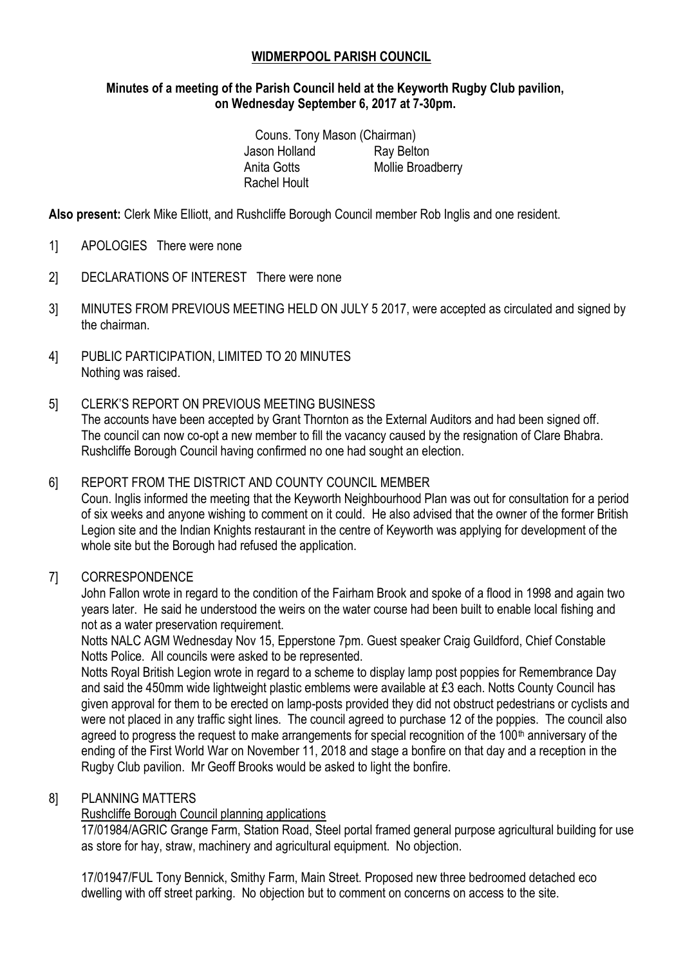## **WIDMERPOOL PARISH COUNCIL**

#### **Minutes of a meeting of the Parish Council held at the Keyworth Rugby Club pavilion, on Wednesday September 6, 2017 at 7-30pm.**

Couns. Tony Mason (Chairman) Jason Holland Ray Belton Anita Gotts Mollie Broadberry Rachel Hoult

**Also present:** Clerk Mike Elliott, and Rushcliffe Borough Council member Rob Inglis and one resident.

- 1] APOLOGIES There were none
- 2] DECLARATIONS OF INTEREST There were none
- 3] MINUTES FROM PREVIOUS MEETING HELD ON JULY 5 2017, were accepted as circulated and signed by the chairman.
- 4] PUBLIC PARTICIPATION, LIMITED TO 20 MINUTES Nothing was raised.
- 5] CLERK'S REPORT ON PREVIOUS MEETING BUSINESS

The accounts have been accepted by Grant Thornton as the External Auditors and had been signed off. The council can now co-opt a new member to fill the vacancy caused by the resignation of Clare Bhabra. Rushcliffe Borough Council having confirmed no one had sought an election.

## 6] REPORT FROM THE DISTRICT AND COUNTY COUNCIL MEMBER

Coun. Inglis informed the meeting that the Keyworth Neighbourhood Plan was out for consultation for a period of six weeks and anyone wishing to comment on it could. He also advised that the owner of the former British Legion site and the Indian Knights restaurant in the centre of Keyworth was applying for development of the whole site but the Borough had refused the application.

#### 7] CORRESPONDENCE

John Fallon wrote in regard to the condition of the Fairham Brook and spoke of a flood in 1998 and again two years later. He said he understood the weirs on the water course had been built to enable local fishing and not as a water preservation requirement.

Notts NALC AGM Wednesday Nov 15, Epperstone 7pm. Guest speaker Craig Guildford, Chief Constable Notts Police. All councils were asked to be represented.

Notts Royal British Legion wrote in regard to a scheme to display lamp post poppies for Remembrance Day and said the 450mm wide lightweight plastic emblems were available at £3 each. Notts County Council has given approval for them to be erected on lamp-posts provided they did not obstruct pedestrians or cyclists and were not placed in any traffic sight lines. The council agreed to purchase 12 of the poppies. The council also agreed to progress the request to make arrangements for special recognition of the 100<sup>th</sup> anniversary of the ending of the First World War on November 11, 2018 and stage a bonfire on that day and a reception in the Rugby Club pavilion. Mr Geoff Brooks would be asked to light the bonfire.

#### 8] PLANNING MATTERS

# Rushcliffe Borough Council planning applications

17/01984/AGRIC Grange Farm, Station Road, Steel portal framed general purpose agricultural building for use as store for hay, straw, machinery and agricultural equipment. No objection.

17/01947/FUL Tony Bennick, Smithy Farm, Main Street. Proposed new three bedroomed detached eco dwelling with off street parking. No objection but to comment on concerns on access to the site.